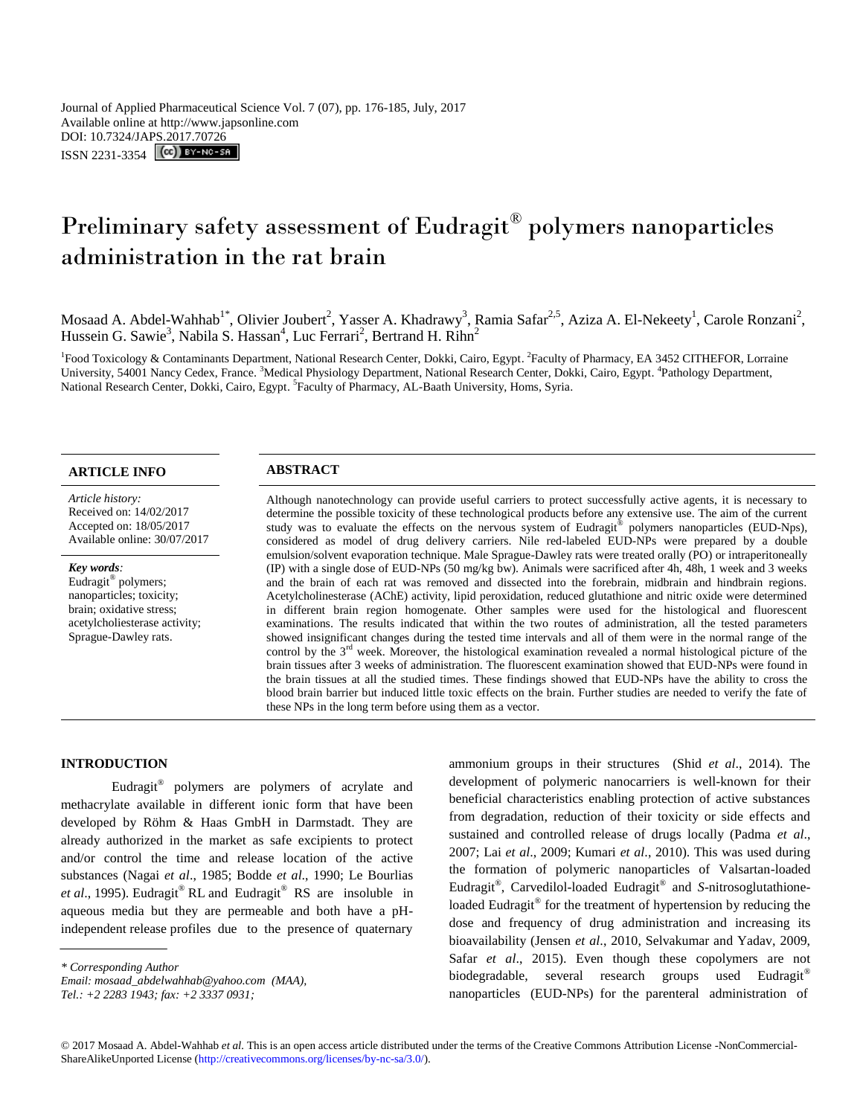# Preliminary safety assessment of Eudragit® polymers nanoparticles administration in the rat brain

Mosaad A. Abdel-Wahhab<sup>1\*</sup>, Olivier Joubert<sup>2</sup>, Yasser A. Khadrawy<sup>3</sup>, Ramia Safar<sup>2,5</sup>, Aziza A. El-Nekeety<sup>1</sup>, Carole Ronzani<sup>2</sup>, Hussein G. Sawie<sup>3</sup>, Nabila S. Hassan<sup>4</sup>, Luc Ferrari<sup>2</sup>, Bertrand H. Rihn<sup>2</sup>

<sup>1</sup>Food Toxicology & Contaminants Department, National Research Center, Dokki, Cairo, Egypt. <sup>2</sup>Faculty of Pharmacy, EA 3452 CITHEFOR, Lorraine University, 54001 Nancy Cedex, France. <sup>3</sup>Medical Physiology Department, National Research Center, Dokki, Cairo, Egypt. <sup>4</sup>Pathology Department, National Research Center, Dokki, Cairo, Egypt. <sup>5</sup>Faculty of Pharmacy, AL-Baath University, Homs, Syria.

# **ARTICLE INFO ABSTRACT**

*Article history:* Received on: 14/02/2017 Accepted on: 18/05/2017 Available online: 30/07/2017

#### *Key words:*

Eudragit® polymers; nanoparticles; toxicity; brain; oxidative stress; acetylcholiesterase activity; Sprague-Dawley rats.

Although nanotechnology can provide useful carriers to protect successfully active agents, it is necessary to determine the possible toxicity of these technological products before any extensive use. The aim of the current study was to evaluate the effects on the nervous system of Eudragit<sup>®</sup> polymers nanoparticles (EUD-Nps), considered as model of drug delivery carriers. Nile red-labeled EUD-NPs were prepared by a double emulsion/solvent evaporation technique. Male Sprague-Dawley rats were treated orally (PO) or intraperitoneally (IP) with a single dose of EUD-NPs (50 mg/kg bw). Animals were sacrificed after 4h, 48h, 1 week and 3 weeks and the brain of each rat was removed and dissected into the forebrain, midbrain and hindbrain regions. Acetylcholinesterase (AChE) activity, lipid peroxidation, reduced glutathione and nitric oxide were determined in different brain region homogenate. Other samples were used for the histological and fluorescent examinations. The results indicated that within the two routes of administration, all the tested parameters showed insignificant changes during the tested time intervals and all of them were in the normal range of the control by the 3<sup>rd</sup> week. Moreover, the histological examination revealed a normal histological picture of the brain tissues after 3 weeks of administration. The fluorescent examination showed that EUD-NPs were found in the brain tissues at all the studied times. These findings showed that EUD-NPs have the ability to cross the blood brain barrier but induced little toxic effects on the brain. Further studies are needed to verify the fate of these NPs in the long term before using them as a vector.

# **INTRODUCTION**

Eudragit® polymers are polymers of acrylate and methacrylate available in different ionic form that have been developed by Röhm & Haas GmbH in Darmstadt. They are already authorized in the market as safe excipients to protect and/or control the time and release location of the active substances (Nagai *et al*., 1985; Bodde *et al*., 1990; Le Bourlias *et al*., 1995). Eudragit® RL and Eudragit® RS are insoluble in aqueous media but they are permeable and both have a pHindependent release profiles due to the presence of quaternary

*Email: [mosaad\\_abdelwahhab@yahoo.com](mailto:mosaad_abdelwahhab@yahoo.com) (MAA),* 

ammonium groups in their structures (Shid *et al*., 2014). The development of polymeric nanocarriers is well-known for their beneficial characteristics enabling protection of active substances from degradation, reduction of their toxicity or side effects and sustained and controlled release of drugs locally (Padma *et al*., 2007; Lai *et al*., 2009; Kumari *et al*., 2010). This was used during the formation of polymeric nanoparticles of Valsartan-loaded Eudragit® , Carvedilol-loaded Eudragit® and *S*-nitrosoglutathioneloaded Eudragit<sup>®</sup> for the treatment of hypertension by reducing the dose and frequency of drug administration and increasing its bioavailability (Jensen *et al*., 2010, Selvakumar and Yadav, 2009, Safar *et al*., 2015). Even though these copolymers are not biodegradable, several research groups used Eudragit® nanoparticles (EUD-NPs) for the parenteral administration of

*<sup>\*</sup> Corresponding Author*

*Tel.: +2 2283 1943; fax: +2 3337 0931;*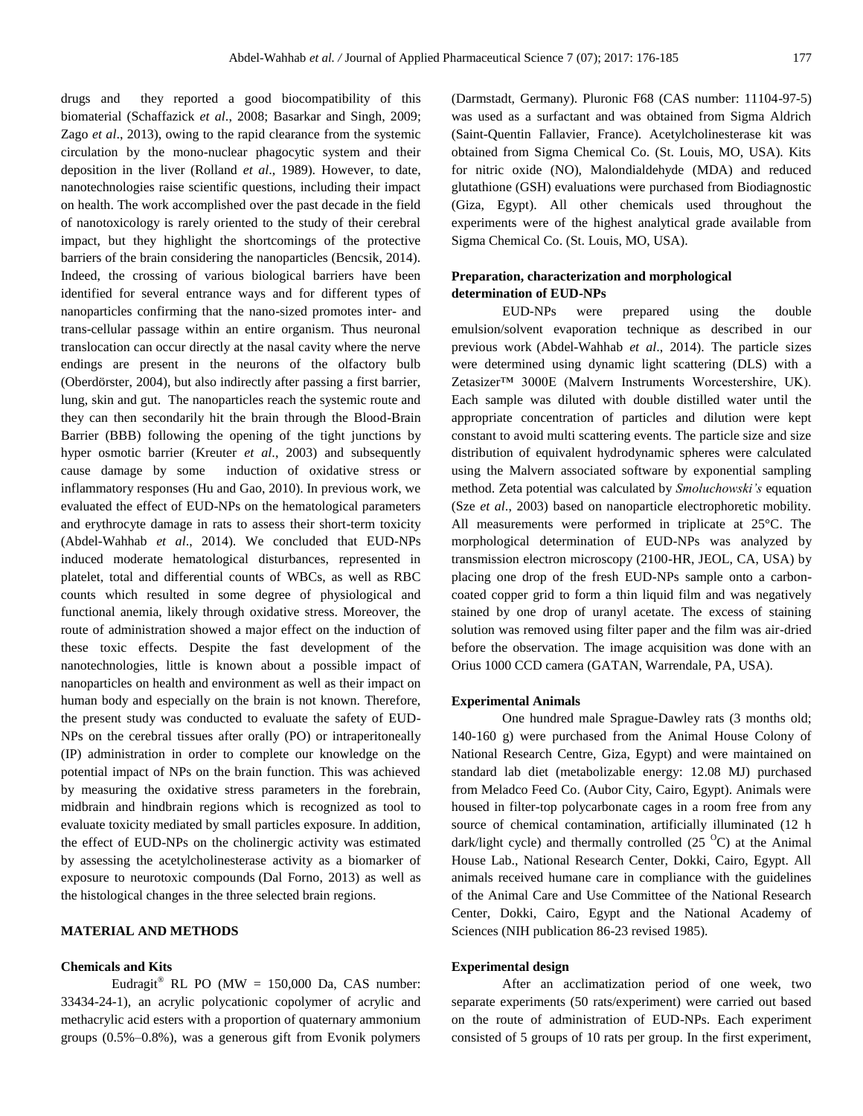drugs and they reported a good biocompatibility of this biomaterial (Schaffazick *et al*., 2008; [Basarkar a](http://www.ncbi.nlm.nih.gov/pubmed/?term=Basarkar%20A%5BAuthor%5D&cauthor=true&cauthor_uid=18779928)nd Singh, 200[9;](http://www.ncbi.nlm.nih.gov/pubmed/?term=Singh%20J%5BAuthor%5D&cauthor=true&cauthor_uid=18779928) Zago *et al*., 2013), owing to the rapid clearance from the systemic circulation by the mono-nuclear phagocytic system and their deposition in the liver (Rolland *et al*., 1989). However, to date, nanotechnologies raise scientific questions, including their impact on health. The work accomplished over the past decade in the field of nanotoxicology is rarely oriented to the study of their cerebral impact, but they highlight the shortcomings of the protective barriers of the brain considering the nanoparticles (Bencsik, 2014). Indeed, the crossing of various biological barriers have been identified for several entrance ways and for different types of nanoparticles confirming that the nano-sized promotes inter- and trans-cellular passage within an entire organism. Thus neuronal translocation can occur directly at the nasal cavity where the nerve endings are present in the neurons of the olfactory bulb (Oberdörster, 2004), but also indirectly after passing a first barrier, lung, skin and gut. The nanoparticles reach the systemic route and they can then secondarily hit the brain through the Blood-Brain Barrier (BBB) following the opening of the tight junctions by hyper osmotic barrier (Kreuter *et al*., 2003) and subsequently cause damage by some induction of oxidative stress or inflammatory responses (Hu and Gao, 2010). In previous work, we evaluated the effect of EUD-NPs on the hematological parameters and erythrocyte damage in rats to assess their short-term toxicity (Abdel-Wahhab *et al*., 2014). We concluded that EUD-NPs induced moderate hematological disturbances, represented in platelet, total and differential counts of WBCs, as well as RBC counts which resulted in some degree of physiological and functional anemia, likely through oxidative stress. Moreover, the route of administration showed a major effect on the induction of these toxic effects. Despite the fast development of the nanotechnologies, little is known about a possible impact of nanoparticles on health and environment as well as their impact on human body and especially on the brain is not known. Therefore, the present study was conducted to evaluate the safety of EUD-NPs on the cerebral tissues after orally (PO) or intraperitoneally (IP) administration in order to complete our knowledge on the potential impact of NPs on the brain function. This was achieved by measuring the oxidative stress parameters in the forebrain, midbrain and hindbrain regions which is recognized as tool to evaluate toxicity mediated by small particles exposure. In addition, the effect of EUD-NPs on the cholinergic activity was estimated by assessing the acetylcholinesterase activity as a biomarker of exposure to neurotoxic compounds (Dal Forno, 2013) as well as the histological changes in the three selected brain regions.

# **MATERIAL AND METHODS**

#### **Chemicals and Kits**

Eudragit<sup>®</sup> RL PO (MW = 150,000 Da, CAS number: 33434-24-1), an acrylic polycationic copolymer of acrylic and methacrylic acid esters with a proportion of quaternary ammonium groups (0.5%–0.8%), was a generous gift from Evonik polymers (Darmstadt, Germany). Pluronic F68 (CAS number: 11104-97-5) was used as a surfactant and was obtained from Sigma Aldrich (Saint-Quentin Fallavier, France). Acetylcholinesterase kit was obtained from Sigma Chemical Co. (St. Louis, MO, USA). Kits for nitric oxide (NO), Malondialdehyde (MDA) and reduced glutathione (GSH) evaluations were purchased from Biodiagnostic (Giza, Egypt). All other chemicals used throughout the experiments were of the highest analytical grade available from Sigma Chemical Co. (St. Louis, MO, USA).

# **Preparation, characterization and morphological determination of EUD-NPs**

EUD-NPs were prepared using the double emulsion/solvent evaporation technique as described in our previous work (Abdel-Wahhab *et al*., 2014). The particle sizes were determined using dynamic light scattering (DLS) with a Zetasizer™ 3000E (Malvern Instruments Worcestershire, UK). Each sample was diluted with double distilled water until the appropriate concentration of particles and dilution were kept constant to avoid multi scattering events. The particle size and size distribution of equivalent hydrodynamic spheres were calculated using the Malvern associated software by exponential sampling method. Zeta potential was calculated by *Smoluchowski's* equation (Sze *et al*., 2003) based on nanoparticle electrophoretic mobility. All measurements were performed in triplicate at 25°C. The morphological determination of EUD-NPs was analyzed by transmission electron microscopy (2100-HR, JEOL, CA, USA) by placing one drop of the fresh EUD-NPs sample onto a carboncoated copper grid to form a thin liquid film and was negatively stained by one drop of uranyl acetate. The excess of staining solution was removed using filter paper and the film was air-dried before the observation. The image acquisition was done with an Orius 1000 CCD camera (GATAN, Warrendale, PA, USA).

### **Experimental Animals**

One hundred male Sprague-Dawley rats (3 months old; 140-160 g) were purchased from the Animal House Colony of National Research Centre, Giza, Egypt) and were maintained on standard lab diet (metabolizable energy: 12.08 MJ) purchased from Meladco Feed Co. (Aubor City, Cairo, Egypt). Animals were housed in filter-top polycarbonate cages in a room free from any source of chemical contamination, artificially illuminated (12 h dark/light cycle) and thermally controlled  $(25<sup>o</sup>C)$  at the Animal House Lab., National Research Center, Dokki, Cairo, Egypt. All animals received humane care in compliance with the guidelines of the Animal Care and Use Committee of the National Research Center, Dokki, Cairo, Egypt and the National Academy of Sciences (NIH publication 86-23 revised 1985).

#### **Experimental design**

After an acclimatization period of one week, two separate experiments (50 rats/experiment) were carried out based on the route of administration of EUD-NPs. Each experiment consisted of 5 groups of 10 rats per group. In the first experiment,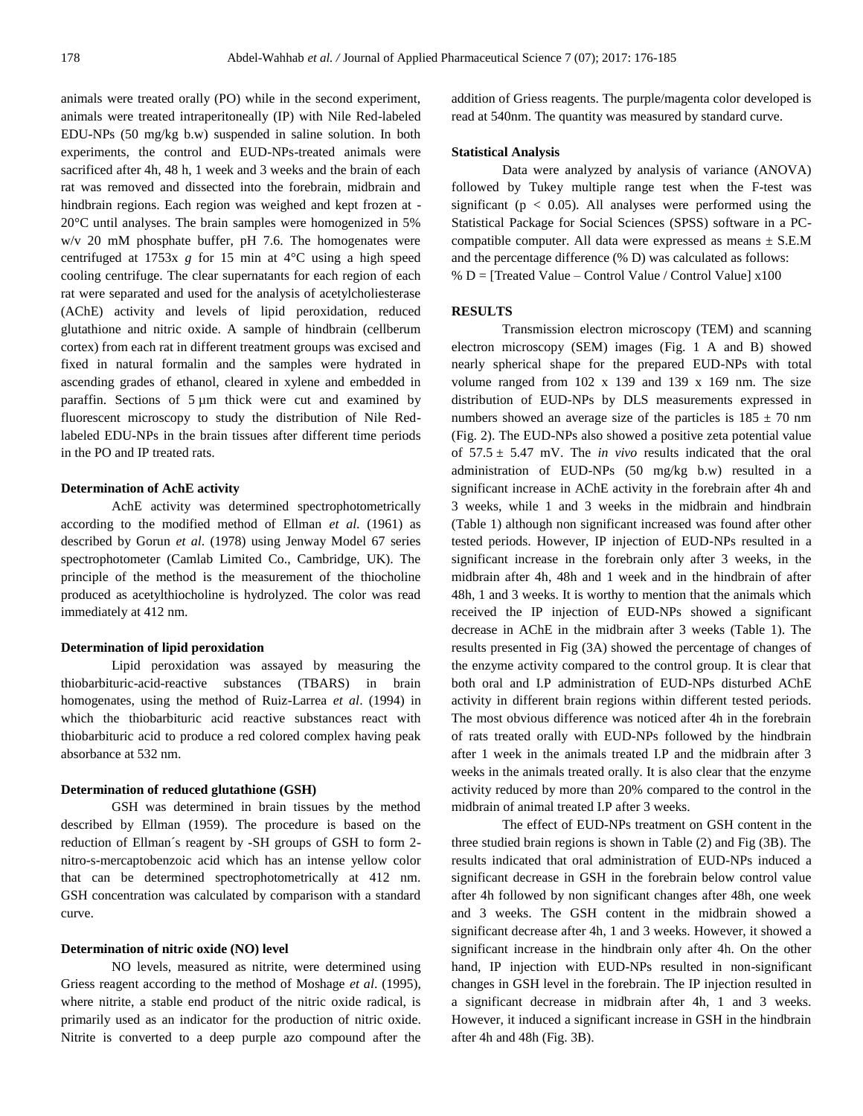animals were treated orally (PO) while in the second experiment, animals were treated intraperitoneally (IP) with Nile Red-labeled EDU-NPs (50 mg/kg b.w) suspended in saline solution. In both experiments, the control and EUD-NPs-treated animals were sacrificed after 4h, 48 h, 1 week and 3 weeks and the brain of each rat was removed and dissected into the forebrain, midbrain and hindbrain regions. Each region was weighed and kept frozen at - 20°C until analyses. The brain samples were homogenized in 5% w/v 20 mM phosphate buffer, pH 7.6. The homogenates were centrifuged at 1753x *g* for 15 min at 4°C using a high speed cooling centrifuge. The clear supernatants for each region of each rat were separated and used for the analysis of acetylcholiesterase (AChE) activity and levels of lipid peroxidation, reduced glutathione and nitric oxide. A sample of hindbrain (cellberum cortex) from each rat in different treatment groups was excised and fixed in natural formalin and the samples were hydrated in ascending grades of ethanol, cleared in xylene and embedded in paraffin. Sections of 5 µm thick were cut and examined by fluorescent microscopy to study the distribution of Nile Redlabeled EDU-NPs in the brain tissues after different time periods in the PO and IP treated rats.

# **Determination of AchE activity**

AchE activity was determined spectrophotometrically according to the modified method of Ellman *et al*. (1961) as described by Gorun *et al*. (1978) using Jenway Model 67 series spectrophotometer (Camlab Limited Co., Cambridge, UK). The principle of the method is the measurement of the thiocholine produced as acetylthiocholine is hydrolyzed. The color was read immediately at 412 nm.

# **Determination of lipid peroxidation**

Lipid peroxidation was assayed by measuring the thiobarbituric-acid-reactive substances (TBARS) in brain homogenates, using the method of Ruiz-Larrea *et al*. (1994) in which the thiobarbituric acid reactive substances react with thiobarbituric acid to produce a red colored complex having peak absorbance at 532 nm.

# **Determination of reduced glutathione (GSH)**

GSH was determined in brain tissues by the method described by Ellman (1959). The procedure is based on the reduction of Ellman´s reagent by -SH groups of GSH to form 2 nitro-s-mercaptobenzoic acid which has an intense yellow color that can be determined spectrophotometrically at 412 nm. GSH concentration was calculated by comparison with a standard curve.

#### **Determination of nitric oxide (NO) level**

NO levels, measured as nitrite, were determined using Griess reagent according to the method of Moshage *et al*. (1995), where nitrite, a stable end product of the nitric oxide radical, is primarily used as an indicator for the production of nitric oxide. Nitrite is converted to a deep purple azo compound after the addition of Griess reagents. The purple/magenta color developed is read at 540nm. The quantity was measured by standard curve.

#### **Statistical Analysis**

Data were analyzed by analysis of variance (ANOVA) followed by Tukey multiple range test when the F-test was significant ( $p < 0.05$ ). All analyses were performed using the Statistical Package for Social Sciences (SPSS) software in a PCcompatible computer. All data were expressed as means  $\pm$  S.E.M and the percentage difference (% D) was calculated as follows: % D = [Treated Value – Control Value / Control Value]  $x100$ 

# **RESULTS**

Transmission electron microscopy (TEM) and scanning electron microscopy (SEM) images (Fig. 1 A and B) showed nearly spherical shape for the prepared EUD-NPs with total volume ranged from  $102 \times 139$  and  $139 \times 169$  nm. The size distribution of EUD-NPs by DLS measurements expressed in numbers showed an average size of the particles is  $185 \pm 70$  nm (Fig. 2). The EUD-NPs also showed a positive zeta potential value of  $57.5 \pm 5.47$  mV. The *in vivo* results indicated that the oral administration of EUD-NPs (50 mg/kg b.w) resulted in a significant increase in AChE activity in the forebrain after 4h and 3 weeks, while 1 and 3 weeks in the midbrain and hindbrain (Table 1) although non significant increased was found after other tested periods. However, IP injection of EUD-NPs resulted in a significant increase in the forebrain only after 3 weeks, in the midbrain after 4h, 48h and 1 week and in the hindbrain of after 48h, 1 and 3 weeks. It is worthy to mention that the animals which received the IP injection of EUD-NPs showed a significant decrease in AChE in the midbrain after 3 weeks (Table 1). The results presented in Fig (3A) showed the percentage of changes of the enzyme activity compared to the control group. It is clear that both oral and I.P administration of EUD-NPs disturbed AChE activity in different brain regions within different tested periods. The most obvious difference was noticed after 4h in the forebrain of rats treated orally with EUD-NPs followed by the hindbrain after 1 week in the animals treated I.P and the midbrain after 3 weeks in the animals treated orally. It is also clear that the enzyme activity reduced by more than 20% compared to the control in the midbrain of animal treated I.P after 3 weeks.

The effect of EUD-NPs treatment on GSH content in the three studied brain regions is shown in Table (2) and Fig (3B). The results indicated that oral administration of EUD-NPs induced a significant decrease in GSH in the forebrain below control value after 4h followed by non significant changes after 48h, one week and 3 weeks. The GSH content in the midbrain showed a significant decrease after 4h, 1 and 3 weeks. However, it showed a significant increase in the hindbrain only after 4h. On the other hand, IP injection with EUD-NPs resulted in non-significant changes in GSH level in the forebrain. The IP injection resulted in a significant decrease in midbrain after 4h, 1 and 3 weeks. However, it induced a significant increase in GSH in the hindbrain after 4h and 48h (Fig. 3B).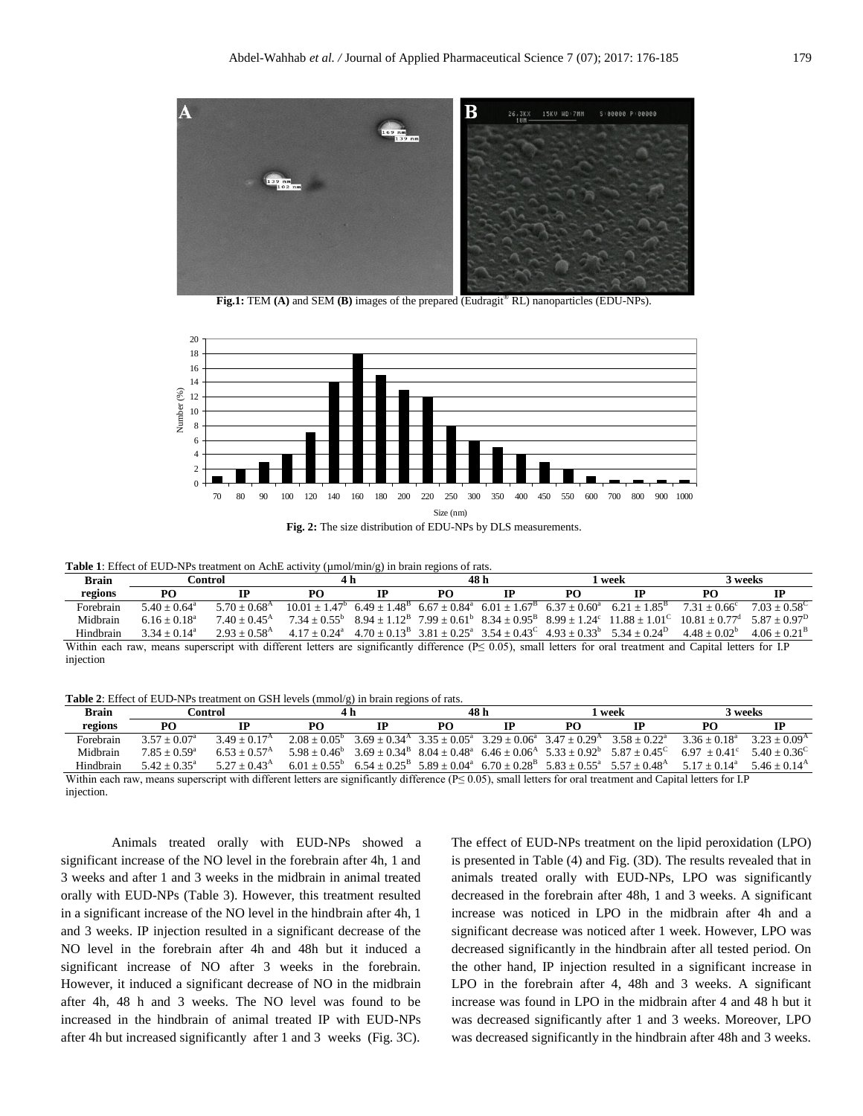

**Fig.1:** TEM **(A)** and SEM **(B)** images of the prepared (Eudragit® RL) nanoparticles (EDU-NPs).



**Table 1**: Effect of EUD-NPs treatment on AchE activity (µmol/min/g) in brain regions of rats.

| <b>Brain</b> | Control                                                                                                                                                               |                          | 4 h |  | 48 h |    | l week |                                                                                                                                                 | 3 weeks                                                                                                                           |                       |
|--------------|-----------------------------------------------------------------------------------------------------------------------------------------------------------------------|--------------------------|-----|--|------|----|--------|-------------------------------------------------------------------------------------------------------------------------------------------------|-----------------------------------------------------------------------------------------------------------------------------------|-----------------------|
| regions      | PO                                                                                                                                                                    | IР                       | PO. |  | PO.  | ТP | PΩ     | ТP                                                                                                                                              | PΟ                                                                                                                                | IР                    |
| Forebrain    | $5.40 + 0.64$ <sup>a</sup>                                                                                                                                            | $5.70 + 0.68^{\rm A}$    |     |  |      |    |        | $10.01 + 1.47^b$ 6.49 + 1.48 <sup>B</sup> 6.67 + 0.84 <sup>a</sup> 6.01 + 1.67 <sup>B</sup> 6.37 + 0.60 <sup>a</sup> 6.21 + 1.85 <sup>B</sup>   | $7.31 + 0.66^{\circ}$                                                                                                             | $7.03 + 0.58^{\circ}$ |
| Midbrain     | $6.16 \pm 0.18^a$                                                                                                                                                     | $7.40 + 0.45^{\rm A}$    |     |  |      |    |        |                                                                                                                                                 | $7.34 + 0.55^b$ 8.94 + $1.12^B$ 7.99 + $0.61^b$ 8.34 + $0.95^B$ 8.99 + $1.24^c$ 11.88 + $1.01^c$ 10.81 + $0.77^d$ 5.87 + $0.97^D$ |                       |
| Hindbrain    | $3.34 + 0.14^a$                                                                                                                                                       | $2.93 + 0.58^{\text{A}}$ |     |  |      |    |        | $4.17 \pm 0.24^{\circ}$ $4.70 \pm 0.13^{\circ}$ $3.81 \pm 0.25^{\circ}$ $3.54 \pm 0.43^{\circ}$ $4.93 \pm 0.33^{\circ}$ $5.34 \pm 0.24^{\circ}$ | $4.48 + 0.02^b$                                                                                                                   | $4.06 + 0.21^{\rm B}$ |
|              | Within each raw, means superscript with different letters are significantly difference ( $P \le 0.05$ ), small letters for oral treatment and Capital letters for I.P |                          |     |  |      |    |        |                                                                                                                                                 |                                                                                                                                   |                       |
| injection    |                                                                                                                                                                       |                          |     |  |      |    |        |                                                                                                                                                 |                                                                                                                                   |                       |

**Table 2**: Effect of EUD-NPs treatment on GSH levels (mmol/g) in brain regions of rats.

| <b>Brain</b>                                                                                                                                                          | Control               |                          | 4 h             |  | 48 h |  | l week    |                                                                                                                                        | 3 weeks                         |                       |
|-----------------------------------------------------------------------------------------------------------------------------------------------------------------------|-----------------------|--------------------------|-----------------|--|------|--|-----------|----------------------------------------------------------------------------------------------------------------------------------------|---------------------------------|-----------------------|
| regions                                                                                                                                                               | PO                    |                          | PO              |  | PΟ   |  | <b>PO</b> |                                                                                                                                        | PО                              |                       |
| Forebrain                                                                                                                                                             | $3.57 + 0.07^{\circ}$ | $3.49 + 0.17^{\rm A}$    | $2.08 + 0.05^b$ |  |      |  |           | $3.69 + 0.34$ <sup>A</sup> $3.35 + 0.05$ <sup>a</sup> $3.29 + 0.06$ <sup>a</sup> $3.47 + 0.29$ <sup>A</sup> $3.58 + 0.22$ <sup>a</sup> | $3.36 + 0.18^a$                 | $3.23 + 0.09^{\rm A}$ |
| Midbrain                                                                                                                                                              | $7.85 + 0.59^{\circ}$ | $6.53 + 0.57^{\text{A}}$ | $5.98 + 0.46^b$ |  |      |  |           | $3.69 + 0.34^{B}$ $8.04 + 0.48^{a}$ $6.46 + 0.06^{A}$ $5.33 + 0.92^{b}$ $5.87 + 0.45^{C}$                                              | $6.97 + 0.41^{\circ}$           | $5.40 + 0.36^{\circ}$ |
| Hindbrain                                                                                                                                                             | $5.42 + 0.35^a$       | $5.27 + 0.43^{\rm A}$    |                 |  |      |  |           | $6.01 + 0.55^b$ $6.54 + 0.25^b$ $5.89 + 0.04^a$ $6.70 + 0.28^b$ $5.83 + 0.55^a$ $5.57 + 0.48^b$                                        | $5.17 + 0.14^a$ $5.46 + 0.14^A$ |                       |
| Within each raw, means superscript with different letters are significantly difference ( $P \le 0.05$ ), small letters for oral treatment and Capital letters for I.P |                       |                          |                 |  |      |  |           |                                                                                                                                        |                                 |                       |

injection.

Animals treated orally with EUD-NPs showed a significant increase of the NO level in the forebrain after 4h, 1 and 3 weeks and after 1 and 3 weeks in the midbrain in animal treated orally with EUD-NPs (Table 3). However, this treatment resulted in a significant increase of the NO level in the hindbrain after 4h, 1 and 3 weeks. IP injection resulted in a significant decrease of the NO level in the forebrain after 4h and 48h but it induced a significant increase of NO after 3 weeks in the forebrain. However, it induced a significant decrease of NO in the midbrain after 4h, 48 h and 3 weeks. The NO level was found to be increased in the hindbrain of animal treated IP with EUD-NPs after 4h but increased significantly after 1 and 3 weeks (Fig. 3C).

The effect of EUD-NPs treatment on the lipid peroxidation (LPO) is presented in Table (4) and Fig. (3D). The results revealed that in animals treated orally with EUD-NPs, LPO was significantly decreased in the forebrain after 48h, 1 and 3 weeks. A significant increase was noticed in LPO in the midbrain after 4h and a significant decrease was noticed after 1 week. However, LPO was decreased significantly in the hindbrain after all tested period. On the other hand, IP injection resulted in a significant increase in LPO in the forebrain after 4, 48h and 3 weeks. A significant increase was found in LPO in the midbrain after 4 and 48 h but it was decreased significantly after 1 and 3 weeks. Moreover, LPO was decreased significantly in the hindbrain after 48h and 3 weeks.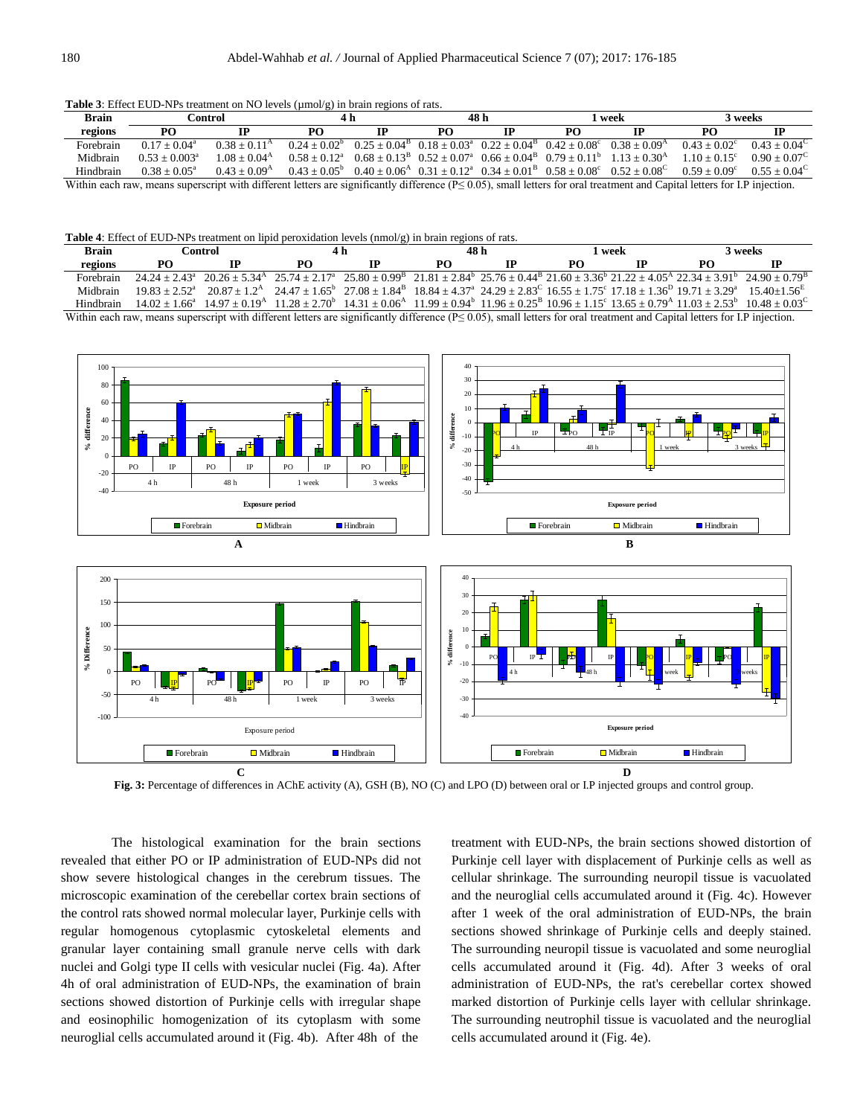**Table 3**: Effect EUD-NPs treatment on NO levels (umol/g) in brain regions of rats.

| <b>Brain</b>                                                                                                                                                                    | Control:        |                       | 4 h             |                                                                                           | 48 h |  | l week |                                                                                                                                               | 3 weeks               |                       |
|---------------------------------------------------------------------------------------------------------------------------------------------------------------------------------|-----------------|-----------------------|-----------------|-------------------------------------------------------------------------------------------|------|--|--------|-----------------------------------------------------------------------------------------------------------------------------------------------|-----------------------|-----------------------|
| regions                                                                                                                                                                         | PО              |                       | PΟ              | ГР                                                                                        | PΩ   |  | PO.    |                                                                                                                                               | PО                    |                       |
| Forebrain                                                                                                                                                                       | $0.17 + 0.04^a$ | $0.38 + 0.11^{\rm A}$ | $0.24 + 0.02^b$ | $0.25 + 0.04^{B}$ $0.18 + 0.03^{a}$ $0.22 + 0.04^{B}$ $0.42 + 0.08^{c}$ $0.38 + 0.09^{A}$ |      |  |        |                                                                                                                                               | $0.43 + 0.02^{\circ}$ | $0.43 + 0.04^{\circ}$ |
| Midbrain                                                                                                                                                                        | $0.53 + 0.003a$ | $1.08 + 0.04^{\rm A}$ | $0.58 + 0.12^a$ |                                                                                           |      |  |        | $0.68 + 0.13^{B}$ $0.52 + 0.07^{a}$ $0.66 + 0.04^{B}$ $0.79 + 0.11^{b}$ $1.13 + 0.30^{A}$                                                     | $1.10 + 0.15^{\circ}$ | $0.90 + 0.07^{\circ}$ |
| Hindbrain                                                                                                                                                                       | $0.38 + 0.05^a$ | $0.43 + 0.09A$        |                 |                                                                                           |      |  |        | $0.43 \pm 0.05^{\circ}$ $0.40 \pm 0.06^{\circ}$ $0.31 \pm 0.12^{\circ}$ $0.34 \pm 0.01^{\circ}$ $0.58 \pm 0.08^{\circ}$ $0.52 + 0.08^{\circ}$ | $0.59 + 0.09^{\circ}$ | $0.55 + 0.04^{\circ}$ |
| Within each raw, means superscript with different letters are significantly difference $(P \le 0.05)$ , small letters for oral treatment and Capital letters for I.P injection. |                 |                       |                 |                                                                                           |      |  |        |                                                                                                                                               |                       |                       |

**Table 4**: Effect of EUD-NPs treatment on lipid peroxidation levels (nmol/g) in brain regions of rats.

| <b>Brain</b>                                                                                                                                                                    | ∆ontrol |                                                                                                                                                                           |    |  | 48 h |  | 1 week |  | 3 weeks |  |
|---------------------------------------------------------------------------------------------------------------------------------------------------------------------------------|---------|---------------------------------------------------------------------------------------------------------------------------------------------------------------------------|----|--|------|--|--------|--|---------|--|
| regions                                                                                                                                                                         | PΩ      |                                                                                                                                                                           | PΟ |  | PΟ   |  | PO.    |  |         |  |
| Forebrain                                                                                                                                                                       |         | $24.24 + 2.43^a$ $20.26 + 5.34^a$ $25.74 + 2.17^a$ $25.80 + 0.99^b$ $21.81 + 2.84^b$ $25.76 + 0.44^b$ $21.60 + 3.36^b$ $21.22 + 4.05^a$ $22.34 + 3.91^b$ $24.90 + 0.79^b$ |    |  |      |  |        |  |         |  |
| Midhrain                                                                                                                                                                        |         | $19.83 + 2.52^a$ $20.87 + 1.2^b$ $24.47 + 1.65^b$ $27.08 + 1.84^b$ $18.84 + 4.37^a$ $24.29 + 2.83^c$ $16.55 + 1.75^c$ $17.18 + 1.36^b$ $19.71 + 3.29^a$ $15.40 + 1.56^c$  |    |  |      |  |        |  |         |  |
| Hindbrain                                                                                                                                                                       |         | $14.02 + 1.66^a$ $14.97 + 0.19^a$ $11.28 + 2.70^b$ $14.31 + 0.06^a$ $11.99 + 0.94^b$ $11.96 + 0.25^b$ $10.96 + 1.15^c$ $13.65 + 0.79^a$ $11.03 + 2.53^b$ $10.48 + 0.03^c$ |    |  |      |  |        |  |         |  |
| Within each raw, means superscript with different letters are significantly difference $(P \le 0.05)$ , small letters for oral treatment and Capital letters for I.P injection. |         |                                                                                                                                                                           |    |  |      |  |        |  |         |  |



**Fig. 3:** Percentage of differences in AChE activity (A), GSH (B), NO (C) and LPO (D) between oral or I.P injected groups and control group.

The histological examination for the brain sections revealed that either PO or IP administration of EUD-NPs did not show severe histological changes in the cerebrum tissues. The microscopic examination of the cerebellar cortex brain sections of the control rats showed normal molecular layer, Purkinje cells with regular homogenous cytoplasmic cytoskeletal elements and granular layer containing small granule nerve cells with dark nuclei and Golgi type II cells with vesicular nuclei (Fig. 4a). After 4h of oral administration of EUD-NPs, the examination of brain sections showed distortion of Purkinje cells with irregular shape and eosinophilic homogenization of its cytoplasm with some neuroglial cells accumulated around it (Fig. 4b). After 48h of the

treatment with EUD-NPs, the brain sections showed distortion of Purkinje cell layer with displacement of Purkinje cells as well as cellular shrinkage. The surrounding neuropil tissue is vacuolated and the neuroglial cells accumulated around it (Fig. 4c). However after 1 week of the oral administration of EUD-NPs, the brain sections showed shrinkage of Purkinje cells and deeply stained. The surrounding neuropil tissue is vacuolated and some neuroglial cells accumulated around it (Fig. 4d). After 3 weeks of oral administration of EUD-NPs, the rat's cerebellar cortex showed marked distortion of Purkinje cells layer with cellular shrinkage. The surrounding neutrophil tissue is vacuolated and the neuroglial cells accumulated around it (Fig. 4e).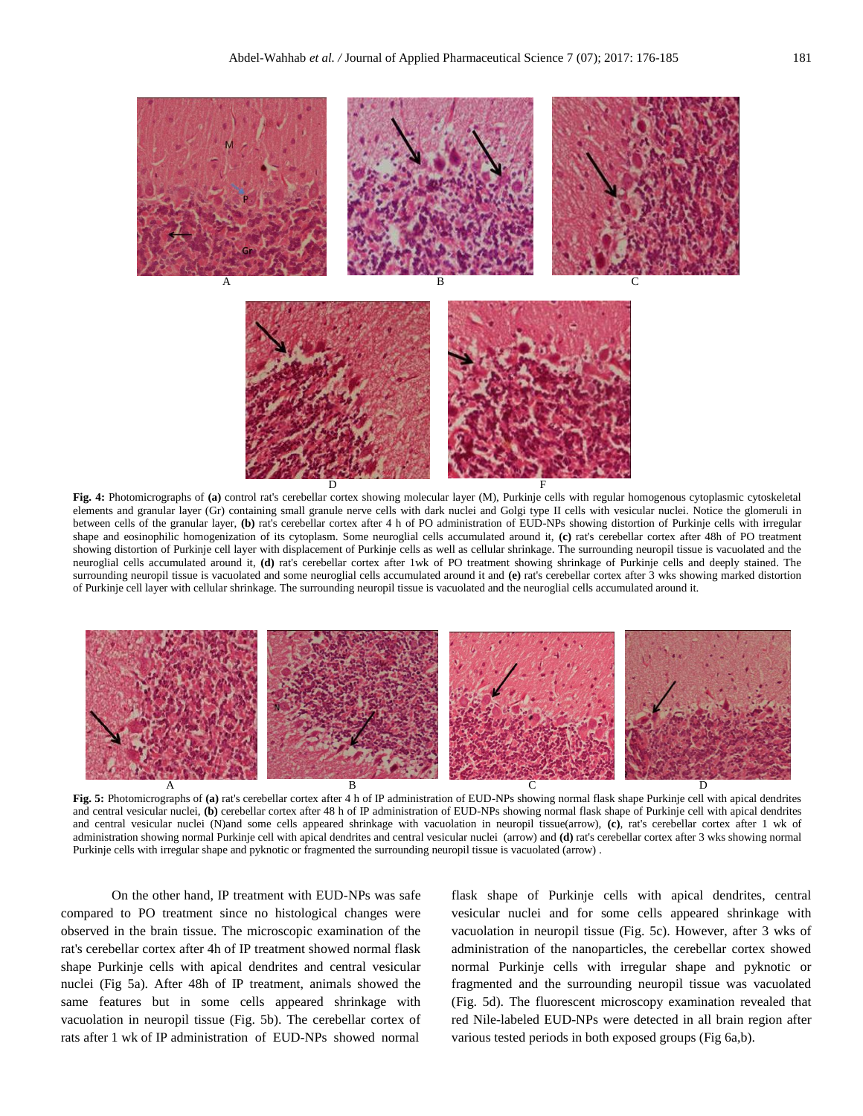

**Fig. 4:** Photomicrographs of **(a)** control rat's cerebellar cortex showing molecular layer (M), Purkinje cells with regular homogenous cytoplasmic cytoskeletal elements and granular layer (Gr) containing small granule nerve cells with dark nuclei and Golgi type II cells with vesicular nuclei. Notice the glomeruli in between cells of the granular layer, **(b)** rat's cerebellar cortex after 4 h of PO administration of EUD-NPs showing distortion of Purkinje cells with irregular shape and eosinophilic homogenization of its cytoplasm. Some neuroglial cells accumulated around it, **(c)** rat's cerebellar cortex after 48h of PO treatment showing distortion of Purkinje cell layer with displacement of Purkinje cells as well as cellular shrinkage. The surrounding neuropil tissue is vacuolated and the neuroglial cells accumulated around it, **(d)** rat's cerebellar cortex after 1wk of PO treatment showing shrinkage of Purkinje cells and deeply stained. The surrounding neuropil tissue is vacuolated and some neuroglial cells accumulated around it and **(e)** rat's cerebellar cortex after 3 wks showing marked distortion of Purkinje cell layer with cellular shrinkage. The surrounding neuropil tissue is vacuolated and the neuroglial cells accumulated around it.



**Fig. 5:** Photomicrographs of **(a)** rat's cerebellar cortex after 4 h of IP administration of EUD-NPs showing normal flask shape Purkinje cell with apical dendrites and central vesicular nuclei, (b) cerebellar cortex after 48 h of IP administration of EUD-NPs showing normal flask shape of Purkinje cell with apical dendrites and central vesicular nuclei (N)and some cells appeared shrinkage with vacuolation in neuropil tissue(arrow), **(c)**, rat's cerebellar cortex after 1 wk of administration showing normal Purkinje cell with apical dendrites and central vesicular nuclei (arrow) and **(d)** rat's cerebellar cortex after 3 wks showing normal Purkinje cells with irregular shape and pyknotic or fragmented the surrounding neuropil tissue is vacuolated (arrow) .

On the other hand, IP treatment with EUD-NPs was safe compared to PO treatment since no histological changes were observed in the brain tissue. The microscopic examination of the rat's cerebellar cortex after 4h of IP treatment showed normal flask shape Purkinje cells with apical dendrites and central vesicular nuclei (Fig 5a). After 48h of IP treatment, animals showed the same features but in some cells appeared shrinkage with vacuolation in neuropil tissue (Fig. 5b). The cerebellar cortex of rats after 1 wk of IP administration of EUD-NPs showed normal

flask shape of Purkinje cells with apical dendrites, central vesicular nuclei and for some cells appeared shrinkage with vacuolation in neuropil tissue (Fig. 5c). However, after 3 wks of administration of the nanoparticles, the cerebellar cortex showed normal Purkinje cells with irregular shape and pyknotic or fragmented and the surrounding neuropil tissue was vacuolated (Fig. 5d). The fluorescent microscopy examination revealed that red Nile-labeled EUD-NPs were detected in all brain region after various tested periods in both exposed groups (Fig 6a,b).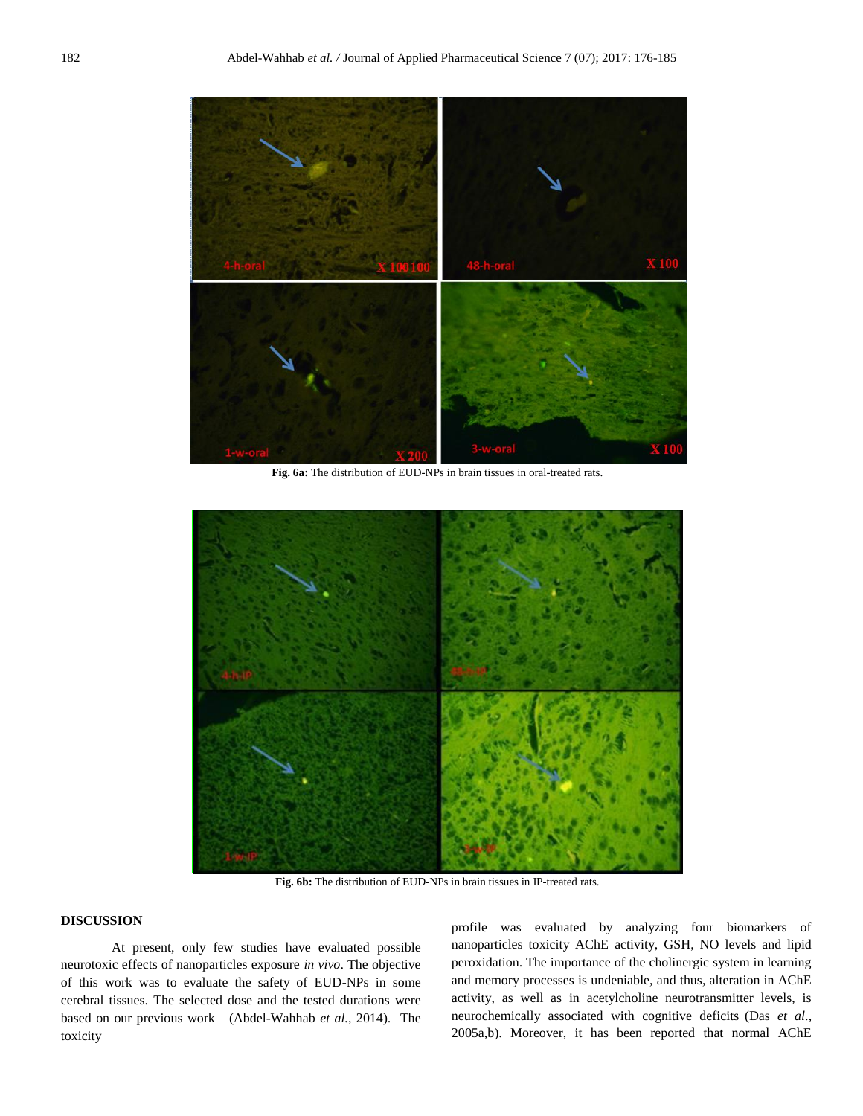

**Fig. 6a:** The distribution of EUD-NPs in brain tissues in oral-treated rats.



**Fig. 6b:** The distribution of EUD-NPs in brain tissues in IP-treated rats.

# **DISCUSSION**

At present, only few studies have evaluated possible neurotoxic effects of nanoparticles exposure *in vivo*. The objective of this work was to evaluate the safety of EUD-NPs in some cerebral tissues. The selected dose and the tested durations were based on our previous work (Abdel-Wahhab *et al.,* 2014). The toxicity

profile was evaluated by analyzing four biomarkers of nanoparticles toxicity AChE activity, GSH, NO levels and lipid peroxidation. The importance of the cholinergic system in learning and memory processes is undeniable, and thus, alteration in AChE activity, as well as in acetylcholine neurotransmitter levels, is neurochemically associated with cognitive deficits (Das *et al*., 2005a,b). Moreover, it has been reported that normal AChE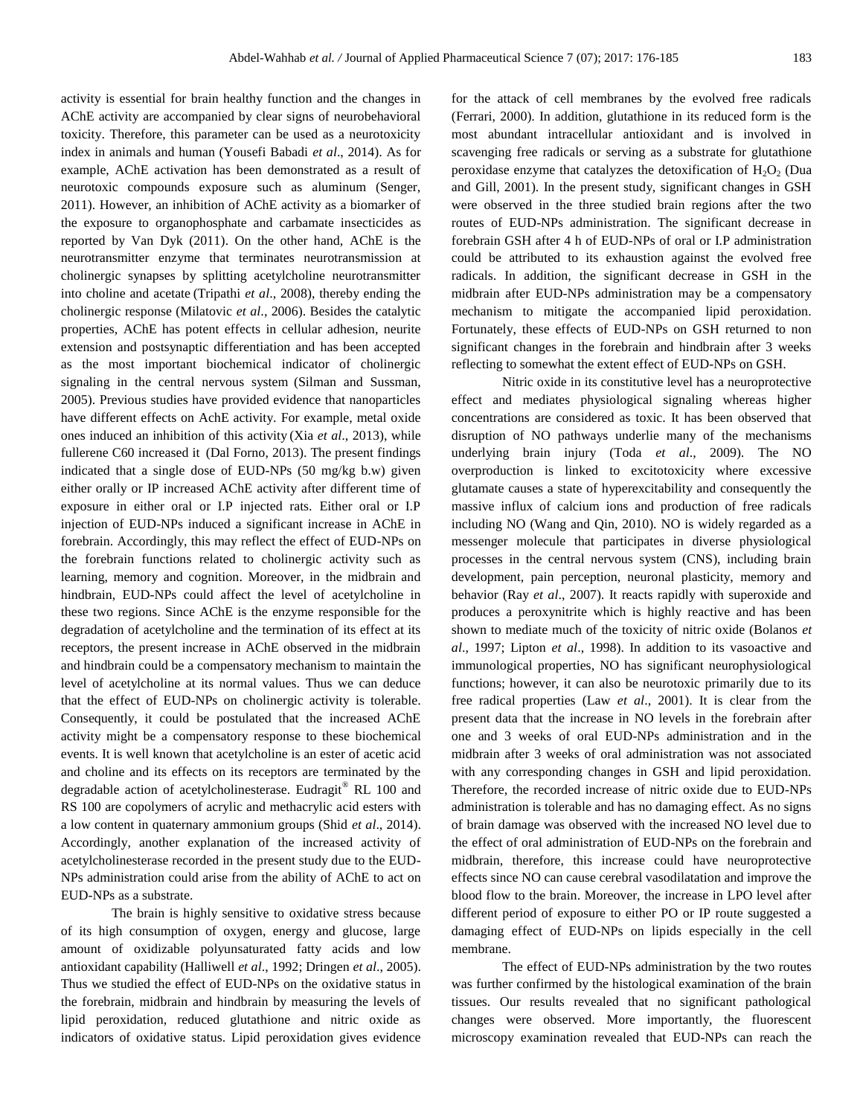activity is essential for brain healthy function and the changes in AChE activity are accompanied by clear signs of neurobehavioral toxicity. Therefore, this parameter can be used as a neurotoxicity index in animals and human (Yousefi Babadi *et al*., 2014). As for example, AChE activation has been demonstrated as a result of neurotoxic compounds exposure such as aluminum (Senger, 2011). However, an inhibition of AChE activity as a biomarker of the exposure to organophosphate and carbamate insecticides as reported by Van Dyk (2011). On the other hand, AChE is the neurotransmitter enzyme that terminates neurotransmission at cholinergic synapses by splitting acetylcholine neurotransmitter into choline and acetate (Tripathi *et al*., 2008), thereby ending the cholinergic response (Milatovic *et al*., 2006). Besides the catalytic properties, AChE has potent effects in cellular adhesion, neurite extension and postsynaptic differentiation and has been accepted as the most important biochemical indicator of cholinergic signaling in the central nervous system (Silman and Sussman, 2005). Previous studies have provided evidence that nanoparticles have different effects on AchE activity. For example, metal oxide ones induced an inhibition of this activity (Xia *et al*., 2013), while fullerene C60 increased it (Dal Forno, 2013). The present findings indicated that a single dose of EUD-NPs (50 mg/kg b.w) given either orally or IP increased AChE activity after different time of exposure in either oral or I.P injected rats. Either oral or I.P injection of EUD-NPs induced a significant increase in AChE in forebrain. Accordingly, this may reflect the effect of EUD-NPs on the forebrain functions related to cholinergic activity such as learning, memory and cognition. Moreover, in the midbrain and hindbrain, EUD-NPs could affect the level of acetylcholine in these two regions. Since AChE is the enzyme responsible for the degradation of acetylcholine and the termination of its effect at its receptors, the present increase in AChE observed in the midbrain and hindbrain could be a compensatory mechanism to maintain the level of acetylcholine at its normal values. Thus we can deduce that the effect of EUD-NPs on cholinergic activity is tolerable. Consequently, it could be postulated that the increased AChE activity might be a compensatory response to these biochemical events. It is well known that acetylcholine is an ester of acetic acid and choline and its effects on its receptors are terminated by the degradable action of acetylcholinesterase. Eudragit® RL 100 and RS 100 are copolymers of acrylic and methacrylic acid esters with a low content in quaternary ammonium groups (Shid *et al*., 2014). Accordingly, another explanation of the increased activity of acetylcholinesterase recorded in the present study due to the EUD-NPs administration could arise from the ability of AChE to act on EUD-NPs as a substrate.

The brain is highly sensitive to oxidative stress because of its high consumption of oxygen, energy and glucose, large amount of oxidizable polyunsaturated fatty acids and low antioxidant capability (Halliwell *et al*., 1992; Dringen *et al*., 2005). Thus we studied the effect of EUD-NPs on the oxidative status in the forebrain, midbrain and hindbrain by measuring the levels of lipid peroxidation, reduced glutathione and nitric oxide as indicators of oxidative status. Lipid peroxidation gives evidence

for the attack of cell membranes by the evolved free radicals (Ferrari, 2000). In addition, glutathione in its reduced form is the most abundant intracellular antioxidant and is involved in scavenging free radicals or serving as a substrate for glutathione peroxidase enzyme that catalyzes the detoxification of  $H_2O_2$  (Dua and Gill, 2001). In the present study, significant changes in GSH were observed in the three studied brain regions after the two routes of EUD-NPs administration. The significant decrease in forebrain GSH after 4 h of EUD-NPs of oral or I.P administration could be attributed to its exhaustion against the evolved free radicals. In addition, the significant decrease in GSH in the midbrain after EUD-NPs administration may be a compensatory mechanism to mitigate the accompanied lipid peroxidation. Fortunately, these effects of EUD-NPs on GSH returned to non significant changes in the forebrain and hindbrain after 3 weeks reflecting to somewhat the extent effect of EUD-NPs on GSH.

Nitric oxide in its constitutive level has a neuroprotective effect and mediates physiological signaling whereas higher concentrations are considered as toxic. It has been observed that disruption of NO pathways underlie many of the mechanisms underlying brain injury (Toda *et al*., 2009). The NO overproduction is linked to excitotoxicity where excessive glutamate causes a state of hyperexcitability and consequently the massive influx of calcium ions and production of free radicals including NO (Wang and Qin, 2010). NO is widely regarded as a messenger molecule that participates in diverse physiological processes in the central nervous system (CNS), including brain development, pain perception, neuronal plasticity, memory and behavior (Ray *et al*., 2007). It reacts rapidly with superoxide and produces a peroxynitrite which is highly reactive and has been shown to mediate much of the toxicity of nitric oxide (Bolanos *et al*., 1997; Lipton *et al*., 1998). In addition to its vasoactive and immunological properties, NO has significant neurophysiological functions; however, it can also be neurotoxic primarily due to its free radical properties (Law *et al*., 2001). It is clear from the present data that the increase in NO levels in the forebrain after one and 3 weeks of oral EUD-NPs administration and in the midbrain after 3 weeks of oral administration was not associated with any corresponding changes in GSH and lipid peroxidation. Therefore, the recorded increase of nitric oxide due to EUD-NPs administration is tolerable and has no damaging effect. As no signs of brain damage was observed with the increased NO level due to the effect of oral administration of EUD-NPs on the forebrain and midbrain, therefore, this increase could have neuroprotective effects since NO can cause cerebral vasodilatation and improve the blood flow to the brain. Moreover, the increase in LPO level after different period of exposure to either PO or IP route suggested a damaging effect of EUD-NPs on lipids especially in the cell membrane.

The effect of EUD-NPs administration by the two routes was further confirmed by the histological examination of the brain tissues. Our results revealed that no significant pathological changes were observed. More importantly, the fluorescent microscopy examination revealed that EUD-NPs can reach the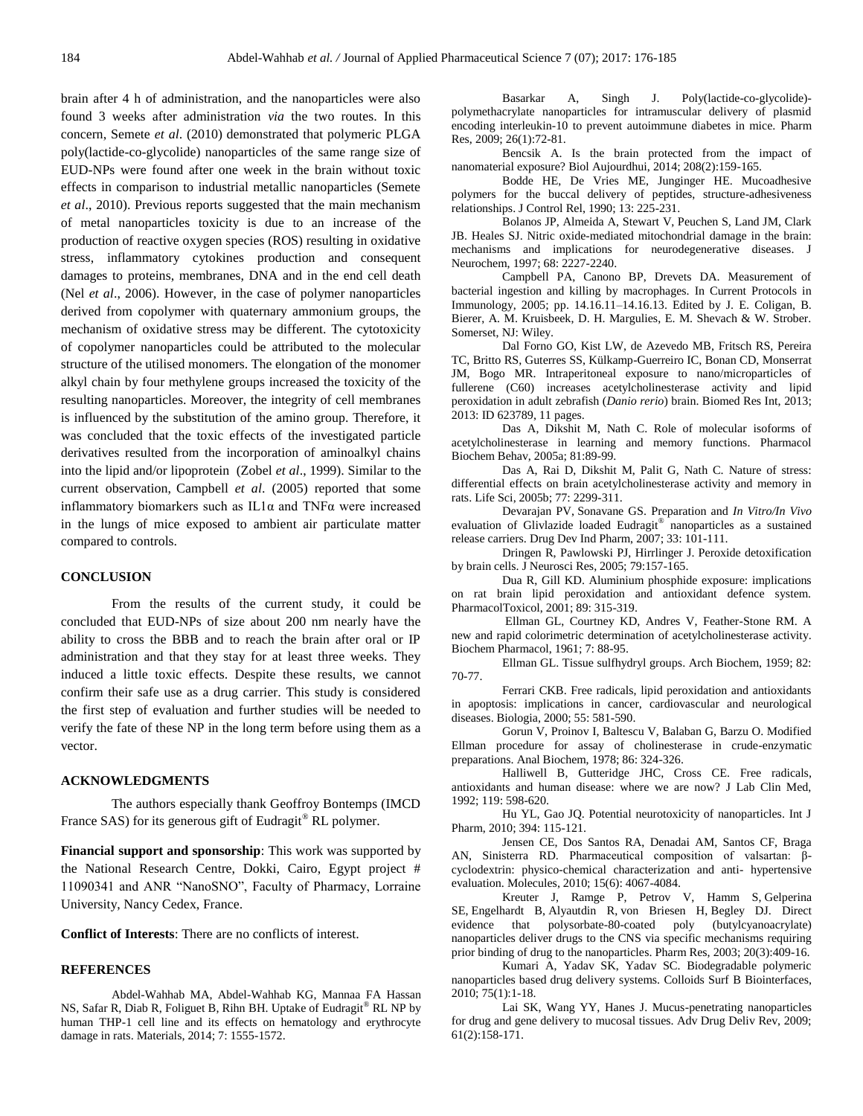brain after 4 h of administration, and the nanoparticles were also found 3 weeks after administration *via* the two routes. In this concern, Semete *et al*. (2010) demonstrated that polymeric PLGA poly(lactide-co-glycolide) nanoparticles of the same range size of EUD-NPs were found after one week in the brain without toxic effects in comparison to industrial metallic nanoparticles (Semete *et al*., 2010). Previous reports suggested that the main mechanism of metal nanoparticles toxicity is due to an increase of the production of reactive oxygen species (ROS) resulting in oxidative stress, inflammatory cytokines production and consequent damages to proteins, membranes, DNA and in the end cell death (Nel *et al*., 2006). However, in the case of polymer nanoparticles derived from copolymer with quaternary ammonium groups, the mechanism of oxidative stress may be different. The cytotoxicity of copolymer nanoparticles could be attributed to the molecular structure of the utilised monomers. The elongation of the monomer alkyl chain by four methylene groups increased the toxicity of the resulting nanoparticles. Moreover, the integrity of cell membranes is influenced by the substitution of the amino group. Therefore, it was concluded that the toxic effects of the investigated particle derivatives resulted from the incorporation of aminoalkyl chains into the lipid and/or lipoprotein (Zobel *et al*., 1999). Similar to the current observation, Campbell *et al*. (2005) reported that some inflammatory biomarkers such as IL1α and TNFα were increased in the lungs of mice exposed to ambient air particulate matter compared to controls.

#### **CONCLUSION**

From the results of the current study, it could be concluded that EUD-NPs of size about 200 nm nearly have the ability to cross the BBB and to reach the brain after oral or IP administration and that they stay for at least three weeks. They induced a little toxic effects. Despite these results, we cannot confirm their safe use as a drug carrier. This study is considered the first step of evaluation and further studies will be needed to verify the fate of these NP in the long term before using them as a vector.

#### **ACKNOWLEDGMENTS**

The authors especially thank Geoffroy Bontemps (IMCD France SAS) for its generous gift of Eudragit<sup>®</sup> RL polymer.

**Financial support and sponsorship**: This work was supported by the National Research Centre, Dokki, Cairo, Egypt project # 11090341 and ANR "NanoSNO", Faculty of Pharmacy, Lorraine University, Nancy Cedex, France.

**Conflict of Interests**: There are no conflicts of interest.

#### **REFERENCES**

Abdel-Wahhab MA, Abdel-Wahhab KG, Mannaa FA Hassan NS, Safar R, Diab R, Foliguet B, Rihn BH. Uptake of Eudragit® RL NP by human THP-1 cell line and its effects on hematology and erythrocyte damage in rats. Materials, 2014; 7: 1555-1572.

[Basarkar A,](http://www.ncbi.nlm.nih.gov/pubmed/?term=Basarkar%20A%5BAuthor%5D&cauthor=true&cauthor_uid=18779928) [Singh J.](http://www.ncbi.nlm.nih.gov/pubmed/?term=Singh%20J%5BAuthor%5D&cauthor=true&cauthor_uid=18779928) Poly(lactide-co-glycolide) polymethacrylate nanoparticles for intramuscular delivery of plasmid encoding interleukin-10 to prevent autoimmune diabetes in mice. [Pharm](http://www.ncbi.nlm.nih.gov/pubmed/?term=J.+Singh%2C+Pharm.+Res.+26+(2009)+72.)  [Res,](http://www.ncbi.nlm.nih.gov/pubmed/?term=J.+Singh%2C+Pharm.+Res.+26+(2009)+72.) 2009; 26(1):72-81.

Bencsik A. Is the brain protected from the impact of nanomaterial exposure? Biol Aujourdhui, 2014; 208(2):159-165.

Bodde HE, De Vries ME, Junginger HE. Mucoadhesive polymers for the buccal delivery of peptides, structure-adhesiveness relationships. J Control Rel, 1990; 13: 225-231.

Bolanos JP, Almeida A, Stewart V, Peuchen S, Land JM, Clark JB. [Heales SJ.](http://www.ncbi.nlm.nih.gov/pubmed/?term=Heales%20SJ%5BAuthor%5D&cauthor=true&cauthor_uid=9166714) Nitric oxide-mediated mitochondrial damage in the brain: mechanisms and implications for neurodegenerative diseases. J Neurochem, 1997; 68: 2227-2240.

Campbell PA, Canono BP, Drevets DA. Measurement of bacterial ingestion and killing by macrophages. In Current Protocols in Immunology, 2005; pp. 14.16.11–14.16.13. Edited by J. E. Coligan, B. Bierer, A. M. Kruisbeek, D. H. Margulies, E. M. Shevach & W. Strober. Somerset, NJ: Wiley.

Dal Forno GO, Kist LW, de Azevedo MB, Fritsch RS, Pereira TC, Britto RS, Guterres SS, Külkamp-Guerreiro IC, Bonan CD, Monserrat JM, Bogo MR. Intraperitoneal exposure to nano/microparticles of fullerene (C60) increases acetylcholinesterase activity and lipid peroxidation in adult zebrafish (*Danio rerio*) brain. Biomed Res Int, 2013; 2013: ID 623789, 11 pages.

Das A, Dikshit M, Nath C. Role of molecular isoforms of acetylcholinesterase in learning and memory functions. Pharmacol Biochem Behav, 2005a; 81:89-99.

Das A, Rai D, Dikshit M, Palit G, Nath C. Nature of stress: differential effects on brain acetylcholinesterase activity and memory in rats. Life Sci, 2005b; 77: 2299-311.

[Devarajan PV,](http://www.ncbi.nlm.nih.gov/pubmed/?term=Devarajan%20PV%5BAuthor%5D&cauthor=true&cauthor_uid=17454041) [Sonavane GS.](http://www.ncbi.nlm.nih.gov/pubmed/?term=Sonavane%20GS%5BAuthor%5D&cauthor=true&cauthor_uid=17454041) Preparation and *In Vitro/In Vivo* evaluation of Glivlazide loaded Eudragit® nanoparticles as a sustained release carriers. [Drug Dev Ind Pharm,](http://www.ncbi.nlm.nih.gov/pubmed/17454041) 2007; 33: 101-111.

Dringen R, Pawlowski PJ, Hirrlinger J. Peroxide detoxification by brain cells. J Neurosci Res, 2005; 79:157-165.

Dua R, Gill KD. Aluminium phosphide exposure: implications on rat brain lipid peroxidation and antioxidant defence system. PharmacolToxicol, 2001; 89: 315-319.

Ellman GL, Courtney KD, Andres V, Feather-Stone RM. A new and rapid colorimetric determination of acetylcholinesterase activity. Biochem Pharmacol, 1961; 7: 88-95.

Ellman GL. Tissue sulfhydryl groups. Arch Biochem, 1959; 82: 70-77.

Ferrari CKB. Free radicals, lipid peroxidation and antioxidants in apoptosis: implications in cancer, cardiovascular and neurological diseases. Biologia, 2000; 55: 581-590.

Gorun V, Proinov I, Baltescu V, Balaban G, Barzu O. Modified Ellman procedure for assay of cholinesterase in crude-enzymatic preparations. Anal Biochem, 1978; 86: 324-326.

Halliwell B, Gutteridge JHC, Cross CE. Free radicals, antioxidants and human disease: where we are now? J Lab Clin Med, 1992; 119: 598-620.

Hu YL, Gao JQ. Potential neurotoxicity of nanoparticles. Int J Pharm, 2010; 394: 115-121.

Jensen CE, Dos Santos RA, Denadai AM, Santos CF, Braga AN, Sinisterra RD. Pharmaceutical composition of valsartan: βcyclodextrin: physico-chemical characterization and anti- hypertensive evaluation. Molecules, 2010; 15(6): 4067-4084.

Kreuter J, Ramge P, Petrov V, [Hamm S,](http://www.ncbi.nlm.nih.gov/pubmed/?term=Hamm%20S%5BAuthor%5D&cauthor=true&cauthor_uid=12669961) [Gelperina](http://www.ncbi.nlm.nih.gov/pubmed/?term=Gelperina%20SE%5BAuthor%5D&cauthor=true&cauthor_uid=12669961)  [SE,](http://www.ncbi.nlm.nih.gov/pubmed/?term=Gelperina%20SE%5BAuthor%5D&cauthor=true&cauthor_uid=12669961) [Engelhardt B,](http://www.ncbi.nlm.nih.gov/pubmed/?term=Engelhardt%20B%5BAuthor%5D&cauthor=true&cauthor_uid=12669961) [Alyautdin R,](http://www.ncbi.nlm.nih.gov/pubmed/?term=Alyautdin%20R%5BAuthor%5D&cauthor=true&cauthor_uid=12669961) [von Briesen H,](http://www.ncbi.nlm.nih.gov/pubmed/?term=von%20Briesen%20H%5BAuthor%5D&cauthor=true&cauthor_uid=12669961) [Begley DJ.](http://www.ncbi.nlm.nih.gov/pubmed/?term=Begley%20DJ%5BAuthor%5D&cauthor=true&cauthor_uid=12669961) Direct evidence that polysorbate-80-coated poly (butylcyanoacrylate) nanoparticles deliver drugs to the CNS via specific mechanisms requiring prior binding of drug to the nanoparticles. Pharm Res, 2003; 20(3):409-16.

Kumari A, Yadav SK, Yadav SC. Biodegradable polymeric nanoparticles based drug delivery systems. Colloids Surf B Biointerfaces, 2010; 75(1):1-18.

Lai SK, Wang YY, Hanes J. Mucus-penetrating nanoparticles for drug and gene delivery to mucosal tissues. Adv Drug Deliv Rev, 2009; 61(2):158-171.